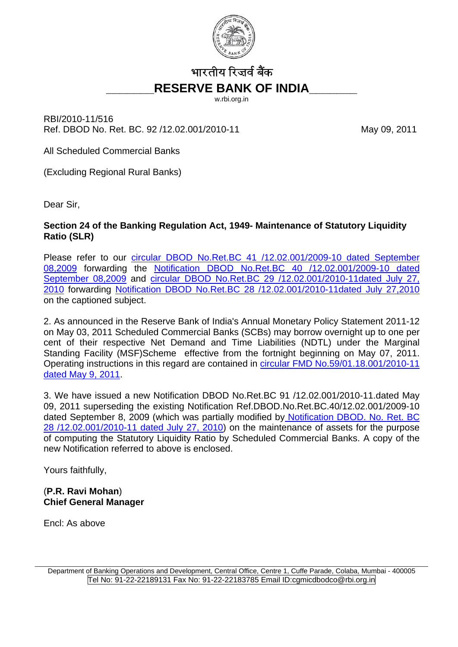

## भारतीय रिजर्व बैंक **\_\_\_\_\_\_\_RESERVE BANK OF INDIA\_\_\_\_\_\_\_**

w.rbi.org.in

RBI/2010-11/516 Ref. DBOD No. Ret. BC. 92 /12.02.001/2010-11 May 09, 2011

All Scheduled Commercial Banks

(Excluding Regional Rural Banks)

Dear Sir,

## **Section 24 of the Banking Regulation Act, 1949- Maintenance of Statutory Liquidity Ratio (SLR)**

Please refer to our [circular DBOD No.Ret.BC 41 /12.02.001/2009-10 dated September](http://www.rbi.org.in/scripts/NotificationUser.aspx?Id=5260&Mode=0)  [08,2009](http://www.rbi.org.in/scripts/NotificationUser.aspx?Id=5260&Mode=0) forwarding the [Notification DBOD No.Ret.BC 40 /12.02.001/2009-10 dated](http://www.rbi.org.in/scripts/NotificationUser.aspx?Id=5260&Mode=0#Not)  [September 08,2009](http://www.rbi.org.in/scripts/NotificationUser.aspx?Id=5260&Mode=0#Not) and [circular DBOD No.Ret.BC 29 /12.02.001/2010-11dated July 27,](http://www.rbi.org.in/scripts/NotificationUser.aspx?Id=5905&Mode=0) [2010](http://www.rbi.org.in/scripts/NotificationUser.aspx?Id=5905&Mode=0) forwarding [Notification DBOD No.Ret.BC 28 /12.02.001/2010-11dated July 27,2010](http://www.rbi.org.in/scripts/NotificationUser.aspx?Id=5905&Mode=0#Ec) on the captioned subject.

2. As announced in the Reserve Bank of India's Annual Monetary Policy Statement 2011-12 on May 03, 2011 Scheduled Commercial Banks (SCBs) may borrow overnight up to one per cent of their respective Net Demand and Time Liabilities (NDTL) under the Marginal Standing Facility (MSF)Scheme effective from the fortnight beginning on May 07, 2011. Operating instructions in this regard are contained in [circular FMD No.59/01.18.001/2010-11](http://www.rbi.org.in/scripts/NotificationUser.aspx?Id=6394&Mode=0)  [dated May 9, 2011](http://www.rbi.org.in/scripts/NotificationUser.aspx?Id=6394&Mode=0).

3. We have issued a new Notification DBOD No.Ret.BC 91 /12.02.001/2010-11.dated May 09, 2011 superseding the existing Notification Ref.DBOD.No.Ret.BC.40/12.02.001/2009-10 dated September 8, 2009 (which was partially modified b[y Notification DBOD. No. Ret. BC](http://www.rbi.org.in/scripts/NotificationUser.aspx?Id=5905&Mode=0#Ec)  [28 /12.02.001/2010-11 dated July 27, 2010](http://www.rbi.org.in/scripts/NotificationUser.aspx?Id=5905&Mode=0#Ec)) on the maintenance of assets for the purpose of computing the Statutory Liquidity Ratio by Scheduled Commercial Banks. A copy of the new Notification referred to above is enclosed.

Yours faithfully,

## (**P.R. Ravi Mohan**) **Chief General Manager**

Encl: As above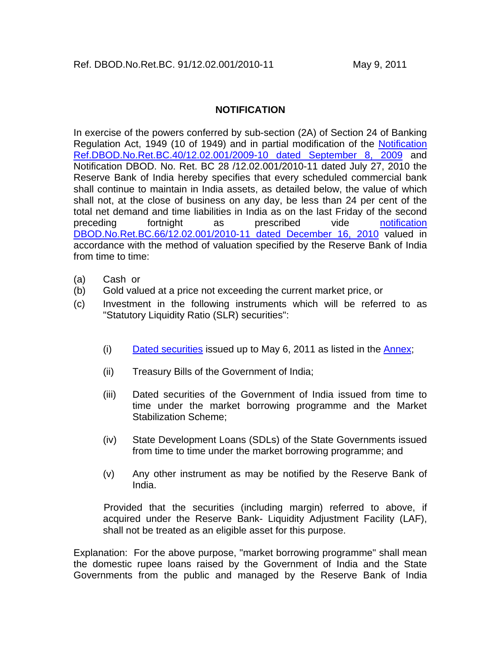## **NOTIFICATION**

In exercise of the powers conferred by sub-section (2A) of Section 24 of Banking Regulation Act, 1949 (10 of 1949) and in partial modification of the [Notification](http://www.rbi.org.in/scripts/NotificationUser.aspx?Id=5260&Mode=0)  [Ref.DBOD.No.Ret.BC.40/12.02.001/2009-10 dated September 8, 2009](http://www.rbi.org.in/scripts/NotificationUser.aspx?Id=5260&Mode=0) and Notification DBOD. No. Ret. BC 28 /12.02.001/2010-11 dated July 27, 2010 the Reserve Bank of India hereby specifies that every scheduled commercial bank shall continue to maintain in India assets, as detailed below, the value of which shall not, at the close of business on any day, be less than 24 per cent of the total net demand and time liabilities in India as on the last Friday of the second preceding fortnight as prescribed vide [notification](http://www.rbi.org.in/scripts/NotificationUser.aspx?Id=6149&Mode=0#En)  [DBOD.No.Ret.BC.66/12.02.001/2010-11 dated December 16, 2010](http://www.rbi.org.in/scripts/NotificationUser.aspx?Id=6149&Mode=0#En) valued in accordance with the method of valuation specified by the Reserve Bank of India from time to time:

- (a) Cash or
- (b) Gold valued at a price not exceeding the current market price, or
- (c) Investment in the following instruments which will be referred to as "Statutory Liquidity Ratio (SLR) securities":
	- $(i)$  [Dated securities](http://rbidocs.rbi.org.in/rdocs/content/docs/SLR090511_F2.xls) issued up to May 6, 2011 as listed in the [Annex;](http://rbidocs.rbi.org.in/rdocs/content/docs/SLR090511_F1.xls)
	- (ii) Treasury Bills of the Government of India;
	- (iii) Dated securities of the Government of India issued from time to time under the market borrowing programme and the Market Stabilization Scheme;
	- (iv) State Development Loans (SDLs) of the State Governments issued from time to time under the market borrowing programme; and
	- (v) Any other instrument as may be notified by the Reserve Bank of India.

 Provided that the securities (including margin) referred to above, if acquired under the Reserve Bank- Liquidity Adjustment Facility (LAF), shall not be treated as an eligible asset for this purpose.

Explanation: For the above purpose, "market borrowing programme" shall mean the domestic rupee loans raised by the Government of India and the State Governments from the public and managed by the Reserve Bank of India